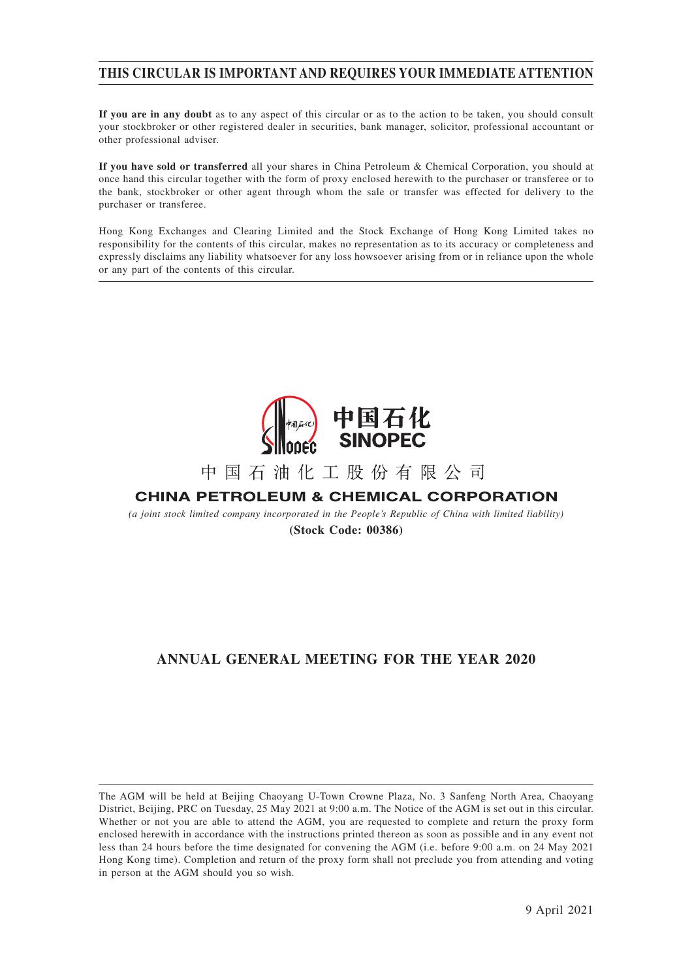### **THIS CIRCULAR IS IMPORTANT AND REQUIRES YOUR IMMEDIATE ATTENTION**

**If you are in any doubt** as to any aspect of this circular or as to the action to be taken, you should consult your stockbroker or other registered dealer in securities, bank manager, solicitor, professional accountant or other professional adviser.

**If you have sold or transferred** all your shares in China Petroleum & Chemical Corporation, you should at once hand this circular together with the form of proxy enclosed herewith to the purchaser or transferee or to the bank, stockbroker or other agent through whom the sale or transfer was effected for delivery to the purchaser or transferee.

Hong Kong Exchanges and Clearing Limited and the Stock Exchange of Hong Kong Limited takes no responsibility for the contents of this circular, makes no representation as to its accuracy or completeness and expressly disclaims any liability whatsoever for any loss howsoever arising from or in reliance upon the whole or any part of the contents of this circular.



# 中国石油化工股份有限公司

## **CHINA PETROLEUM & CHEMICAL CORPORATION**

*(a joint stock limited company incorporated in the People's Republic of China with limited liability)* **(Stock Code: 00386)**

## **ANNUAL GENERAL MEETING FOR THE YEAR 2020**

The AGM will be held at Beijing Chaoyang U-Town Crowne Plaza, No. 3 Sanfeng North Area, Chaoyang District, Beijing, PRC on Tuesday, 25 May 2021 at 9:00 a.m. The Notice of the AGM is set out in this circular. Whether or not you are able to attend the AGM, you are requested to complete and return the proxy form enclosed herewith in accordance with the instructions printed thereon as soon as possible and in any event not less than 24 hours before the time designated for convening the AGM (i.e. before 9:00 a.m. on 24 May 2021 Hong Kong time). Completion and return of the proxy form shall not preclude you from attending and voting in person at the AGM should you so wish.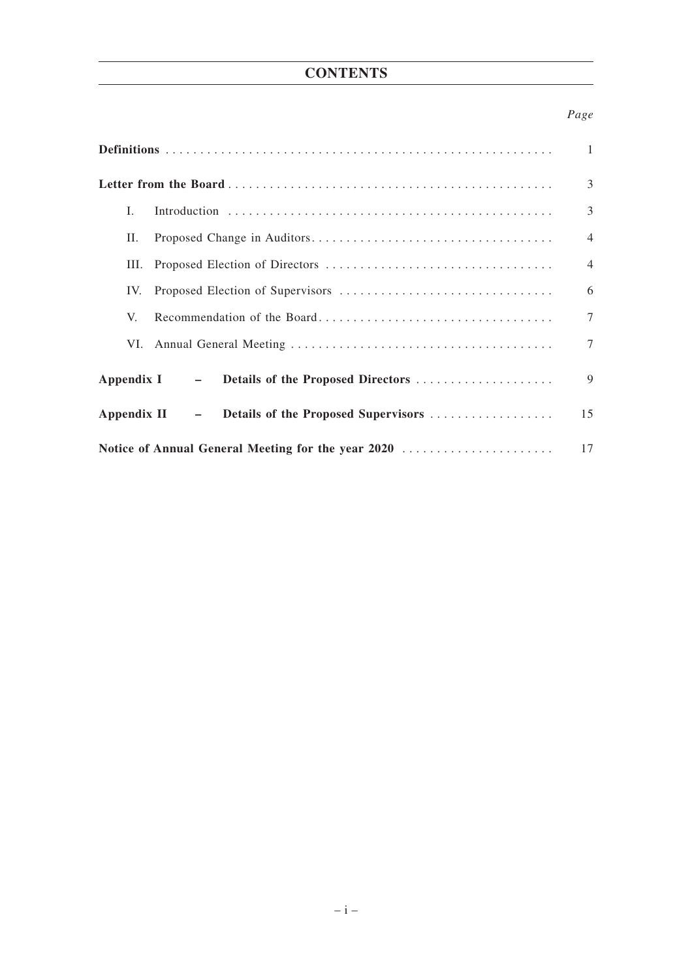## **CONTENTS**

### *Page*

|                                                      | 1              |
|------------------------------------------------------|----------------|
|                                                      | 3              |
| L                                                    | 3              |
| П.                                                   | $\overline{4}$ |
| Ш.                                                   | $\overline{4}$ |
| IV.                                                  | 6              |
| V.                                                   | $\overline{7}$ |
| VI.                                                  | $\tau$         |
| Appendix I – Details of the Proposed Directors       | 9              |
| - Details of the Proposed Supervisors<br>Appendix II | 15             |
| Notice of Annual General Meeting for the year 2020   | 17             |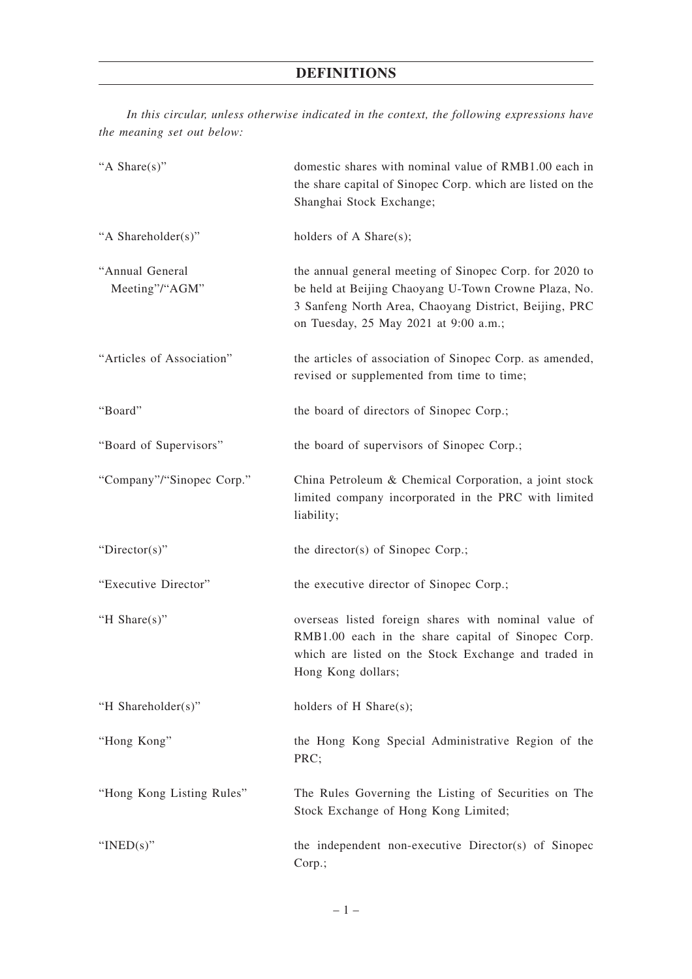*In this circular, unless otherwise indicated in the context, the following expressions have the meaning set out below:*

| "A Share(s)"                      | domestic shares with nominal value of RMB1.00 each in<br>the share capital of Sinopec Corp. which are listed on the<br>Shanghai Stock Exchange;                                                                   |
|-----------------------------------|-------------------------------------------------------------------------------------------------------------------------------------------------------------------------------------------------------------------|
| "A Shareholder(s)"                | holders of A Share $(s)$ ;                                                                                                                                                                                        |
| "Annual General<br>Meeting"/"AGM" | the annual general meeting of Sinopec Corp. for 2020 to<br>be held at Beijing Chaoyang U-Town Crowne Plaza, No.<br>3 Sanfeng North Area, Chaoyang District, Beijing, PRC<br>on Tuesday, 25 May 2021 at 9:00 a.m.; |
| "Articles of Association"         | the articles of association of Sinopec Corp. as amended,<br>revised or supplemented from time to time;                                                                                                            |
| "Board"                           | the board of directors of Sinopec Corp.;                                                                                                                                                                          |
| "Board of Supervisors"            | the board of supervisors of Sinopec Corp.;                                                                                                                                                                        |
| "Company"/"Sinopec Corp."         | China Petroleum & Chemical Corporation, a joint stock<br>limited company incorporated in the PRC with limited<br>liability;                                                                                       |
| " $Directory$ "                   | the director(s) of Sinopec Corp.;                                                                                                                                                                                 |
| "Executive Director"              | the executive director of Sinopec Corp.;                                                                                                                                                                          |
| "H Share(s)"                      | overseas listed foreign shares with nominal value of<br>RMB1.00 each in the share capital of Sinopec Corp.<br>which are listed on the Stock Exchange and traded in<br>Hong Kong dollars;                          |
| "H Shareholder(s)"                | holders of $H$ Share(s);                                                                                                                                                                                          |
| "Hong Kong"                       | the Hong Kong Special Administrative Region of the<br>PRC;                                                                                                                                                        |
| "Hong Kong Listing Rules"         | The Rules Governing the Listing of Securities on The<br>Stock Exchange of Hong Kong Limited;                                                                                                                      |
| " $INED(s)$ "                     | the independent non-executive Director(s) of Sinopec<br>Corp.;                                                                                                                                                    |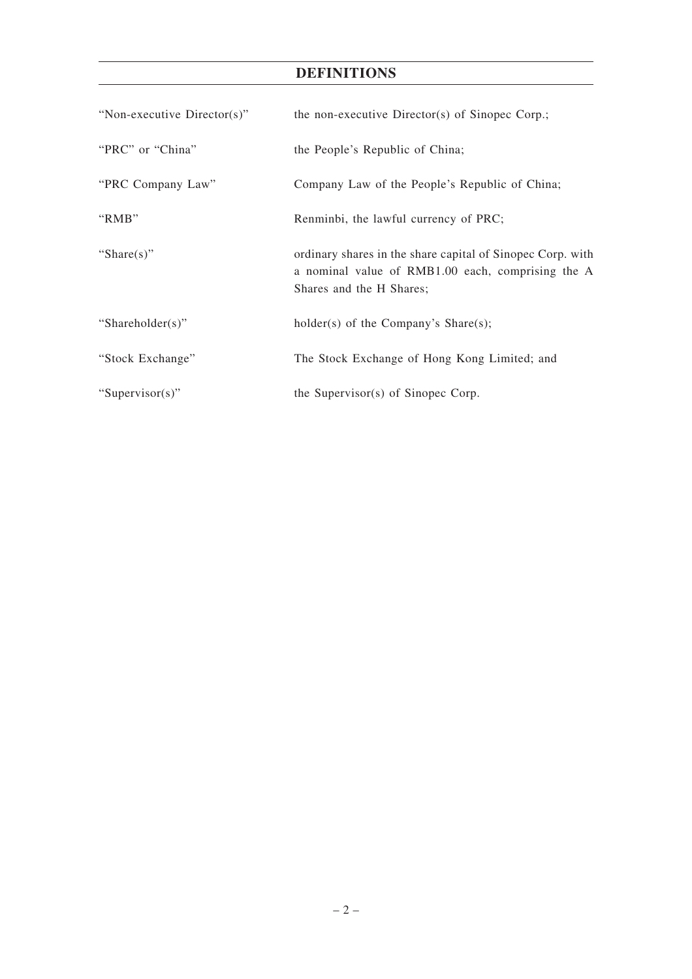## **DEFINITIONS**

| "Non-executive Director(s)" | the non-executive Director(s) of Sinopec Corp.;                                                                                             |
|-----------------------------|---------------------------------------------------------------------------------------------------------------------------------------------|
| "PRC" or "China"            | the People's Republic of China;                                                                                                             |
| "PRC Company Law"           | Company Law of the People's Republic of China;                                                                                              |
| "RMB"                       | Renminbi, the lawful currency of PRC;                                                                                                       |
| "Share $(s)$ "              | ordinary shares in the share capital of Sinopec Corp. with<br>a nominal value of RMB1.00 each, comprising the A<br>Shares and the H Shares; |
| "Shareholder(s)"            | holder(s) of the Company's Share(s);                                                                                                        |
| "Stock Exchange"            | The Stock Exchange of Hong Kong Limited; and                                                                                                |
| "Supervisor(s)"             | the Supervisor(s) of Sinopec Corp.                                                                                                          |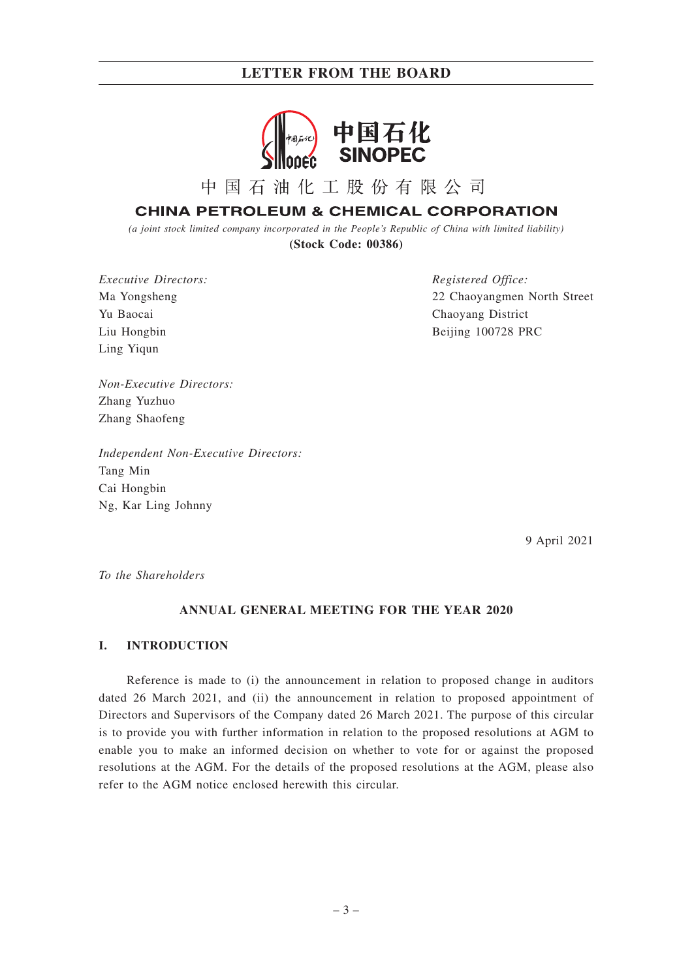

中国石油化工股份有限公司

## **CHINA PETROLEUM & CHEMICAL CORPORATION**

*(a joint stock limited company incorporated in the People's Republic of China with limited liability)* **(Stock Code: 00386)**

*Executive Directors:* Ma Yongsheng Yu Baocai Liu Hongbin Ling Yiqun

*Registered Office:* 22 Chaoyangmen North Street Chaoyang District Beijing 100728 PRC

*Non-Executive Directors:* Zhang Yuzhuo Zhang Shaofeng

*Independent Non-Executive Directors:* Tang Min Cai Hongbin Ng, Kar Ling Johnny

9 April 2021

*To the Shareholders*

#### **ANNUAL GENERAL MEETING FOR THE YEAR 2020**

#### **I. INTRODUCTION**

Reference is made to (i) the announcement in relation to proposed change in auditors dated 26 March 2021, and (ii) the announcement in relation to proposed appointment of Directors and Supervisors of the Company dated 26 March 2021. The purpose of this circular is to provide you with further information in relation to the proposed resolutions at AGM to enable you to make an informed decision on whether to vote for or against the proposed resolutions at the AGM. For the details of the proposed resolutions at the AGM, please also refer to the AGM notice enclosed herewith this circular.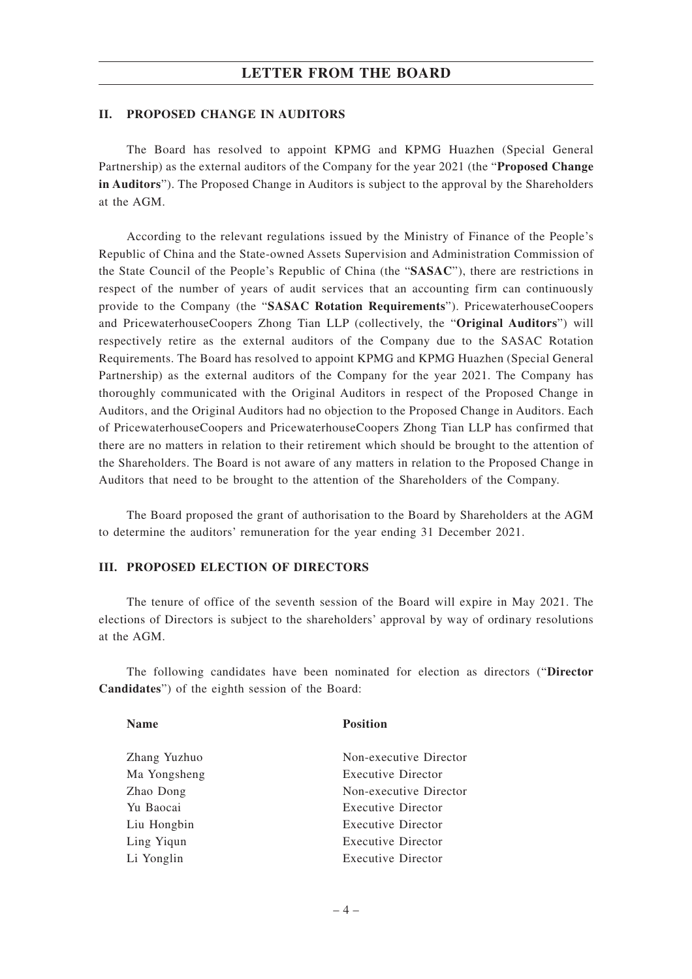#### **II. PROPOSED CHANGE IN AUDITORS**

The Board has resolved to appoint KPMG and KPMG Huazhen (Special General Partnership) as the external auditors of the Company for the year 2021 (the "**Proposed Change in Auditors**"). The Proposed Change in Auditors is subject to the approval by the Shareholders at the AGM.

According to the relevant regulations issued by the Ministry of Finance of the People's Republic of China and the State-owned Assets Supervision and Administration Commission of the State Council of the People's Republic of China (the "**SASAC**"), there are restrictions in respect of the number of years of audit services that an accounting firm can continuously provide to the Company (the "**SASAC Rotation Requirements**"). PricewaterhouseCoopers and PricewaterhouseCoopers Zhong Tian LLP (collectively, the "**Original Auditors**") will respectively retire as the external auditors of the Company due to the SASAC Rotation Requirements. The Board has resolved to appoint KPMG and KPMG Huazhen (Special General Partnership) as the external auditors of the Company for the year 2021. The Company has thoroughly communicated with the Original Auditors in respect of the Proposed Change in Auditors, and the Original Auditors had no objection to the Proposed Change in Auditors. Each of PricewaterhouseCoopers and PricewaterhouseCoopers Zhong Tian LLP has confirmed that there are no matters in relation to their retirement which should be brought to the attention of the Shareholders. The Board is not aware of any matters in relation to the Proposed Change in Auditors that need to be brought to the attention of the Shareholders of the Company.

The Board proposed the grant of authorisation to the Board by Shareholders at the AGM to determine the auditors' remuneration for the year ending 31 December 2021.

#### **III. PROPOSED ELECTION OF DIRECTORS**

The tenure of office of the seventh session of the Board will expire in May 2021. The elections of Directors is subject to the shareholders' approval by way of ordinary resolutions at the AGM.

The following candidates have been nominated for election as directors ("**Director Candidates**") of the eighth session of the Board:

**Name Position**

| Non-executive Director |
|------------------------|
| Executive Director     |
| Non-executive Director |
| Executive Director     |
| Executive Director     |
| Executive Director     |
| Executive Director     |
|                        |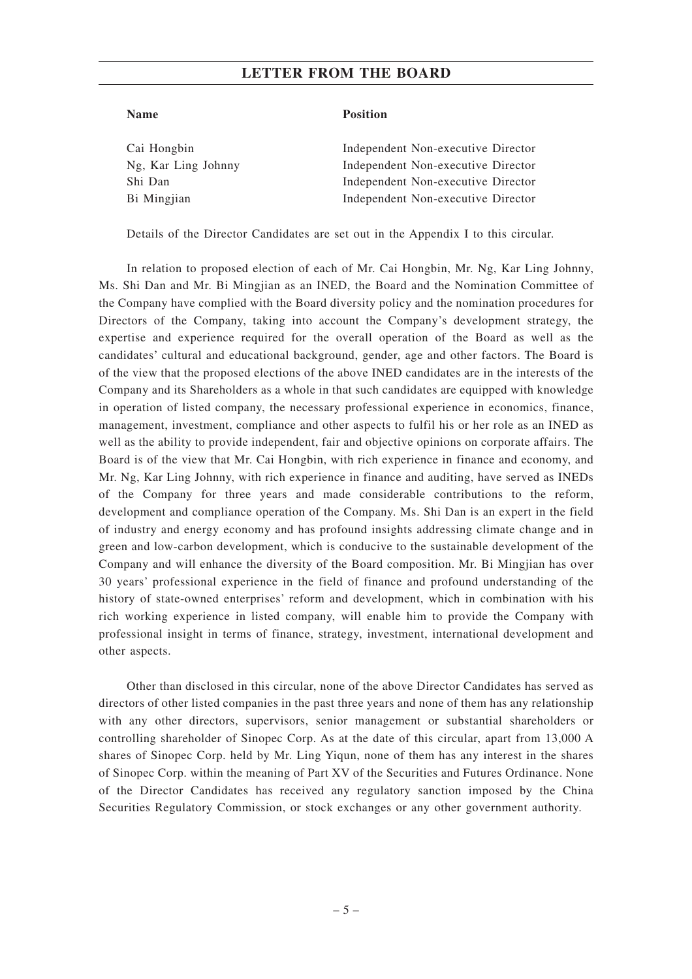#### **Name Position**

| Cai Hongbin         | Independent Non-executive Director |
|---------------------|------------------------------------|
| Ng, Kar Ling Johnny | Independent Non-executive Director |
| Shi Dan             | Independent Non-executive Director |
| Bi Mingjian         | Independent Non-executive Director |
|                     |                                    |

Details of the Director Candidates are set out in the Appendix I to this circular.

In relation to proposed election of each of Mr. Cai Hongbin, Mr. Ng, Kar Ling Johnny, Ms. Shi Dan and Mr. Bi Mingjian as an INED, the Board and the Nomination Committee of the Company have complied with the Board diversity policy and the nomination procedures for Directors of the Company, taking into account the Company's development strategy, the expertise and experience required for the overall operation of the Board as well as the candidates' cultural and educational background, gender, age and other factors. The Board is of the view that the proposed elections of the above INED candidates are in the interests of the Company and its Shareholders as a whole in that such candidates are equipped with knowledge in operation of listed company, the necessary professional experience in economics, finance, management, investment, compliance and other aspects to fulfil his or her role as an INED as well as the ability to provide independent, fair and objective opinions on corporate affairs. The Board is of the view that Mr. Cai Hongbin, with rich experience in finance and economy, and Mr. Ng, Kar Ling Johnny, with rich experience in finance and auditing, have served as INEDs of the Company for three years and made considerable contributions to the reform, development and compliance operation of the Company. Ms. Shi Dan is an expert in the field of industry and energy economy and has profound insights addressing climate change and in green and low-carbon development, which is conducive to the sustainable development of the Company and will enhance the diversity of the Board composition. Mr. Bi Mingjian has over 30 years' professional experience in the field of finance and profound understanding of the history of state-owned enterprises' reform and development, which in combination with his rich working experience in listed company, will enable him to provide the Company with professional insight in terms of finance, strategy, investment, international development and other aspects.

Other than disclosed in this circular, none of the above Director Candidates has served as directors of other listed companies in the past three years and none of them has any relationship with any other directors, supervisors, senior management or substantial shareholders or controlling shareholder of Sinopec Corp. As at the date of this circular, apart from 13,000 A shares of Sinopec Corp. held by Mr. Ling Yiqun, none of them has any interest in the shares of Sinopec Corp. within the meaning of Part XV of the Securities and Futures Ordinance. None of the Director Candidates has received any regulatory sanction imposed by the China Securities Regulatory Commission, or stock exchanges or any other government authority.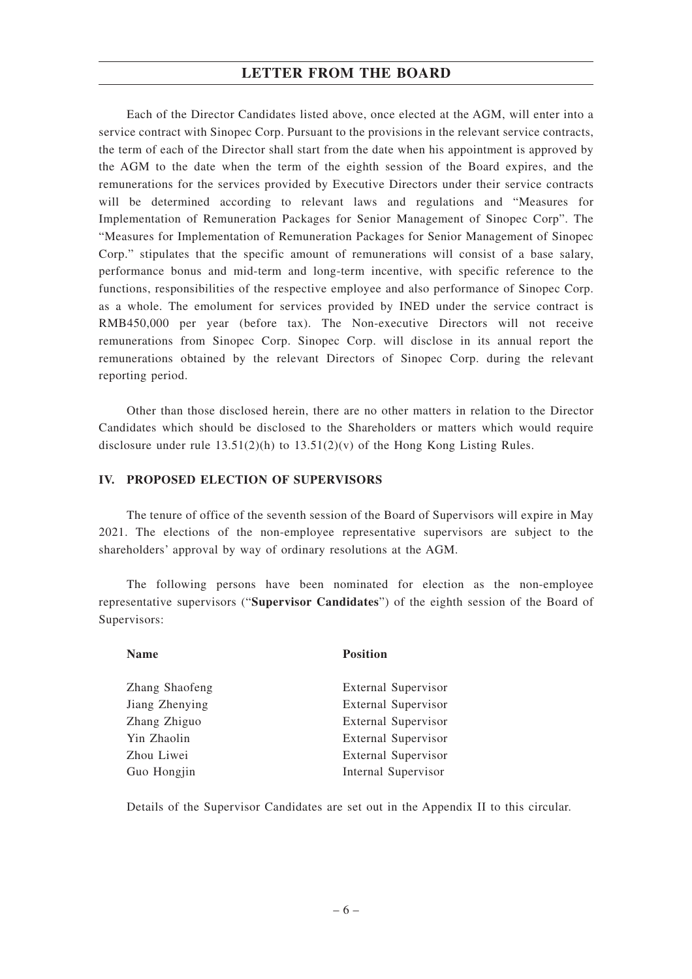Each of the Director Candidates listed above, once elected at the AGM, will enter into a service contract with Sinopec Corp. Pursuant to the provisions in the relevant service contracts, the term of each of the Director shall start from the date when his appointment is approved by the AGM to the date when the term of the eighth session of the Board expires, and the remunerations for the services provided by Executive Directors under their service contracts will be determined according to relevant laws and regulations and "Measures for Implementation of Remuneration Packages for Senior Management of Sinopec Corp". The "Measures for Implementation of Remuneration Packages for Senior Management of Sinopec Corp." stipulates that the specific amount of remunerations will consist of a base salary, performance bonus and mid-term and long-term incentive, with specific reference to the functions, responsibilities of the respective employee and also performance of Sinopec Corp. as a whole. The emolument for services provided by INED under the service contract is RMB450,000 per year (before tax). The Non-executive Directors will not receive remunerations from Sinopec Corp. Sinopec Corp. will disclose in its annual report the remunerations obtained by the relevant Directors of Sinopec Corp. during the relevant reporting period.

Other than those disclosed herein, there are no other matters in relation to the Director Candidates which should be disclosed to the Shareholders or matters which would require disclosure under rule  $13.51(2)(h)$  to  $13.51(2)(v)$  of the Hong Kong Listing Rules.

#### **IV. PROPOSED ELECTION OF SUPERVISORS**

The tenure of office of the seventh session of the Board of Supervisors will expire in May 2021. The elections of the non-employee representative supervisors are subject to the shareholders' approval by way of ordinary resolutions at the AGM.

The following persons have been nominated for election as the non-employee representative supervisors ("**Supervisor Candidates**") of the eighth session of the Board of Supervisors:

| <b>Name</b>    | <b>Position</b>            |
|----------------|----------------------------|
| Zhang Shaofeng | External Supervisor        |
| Jiang Zhenying | <b>External Supervisor</b> |
| Zhang Zhiguo   | <b>External Supervisor</b> |
| Yin Zhaolin    | External Supervisor        |
| Zhou Liwei     | <b>External Supervisor</b> |
| Guo Hongjin    | Internal Supervisor        |

Details of the Supervisor Candidates are set out in the Appendix II to this circular.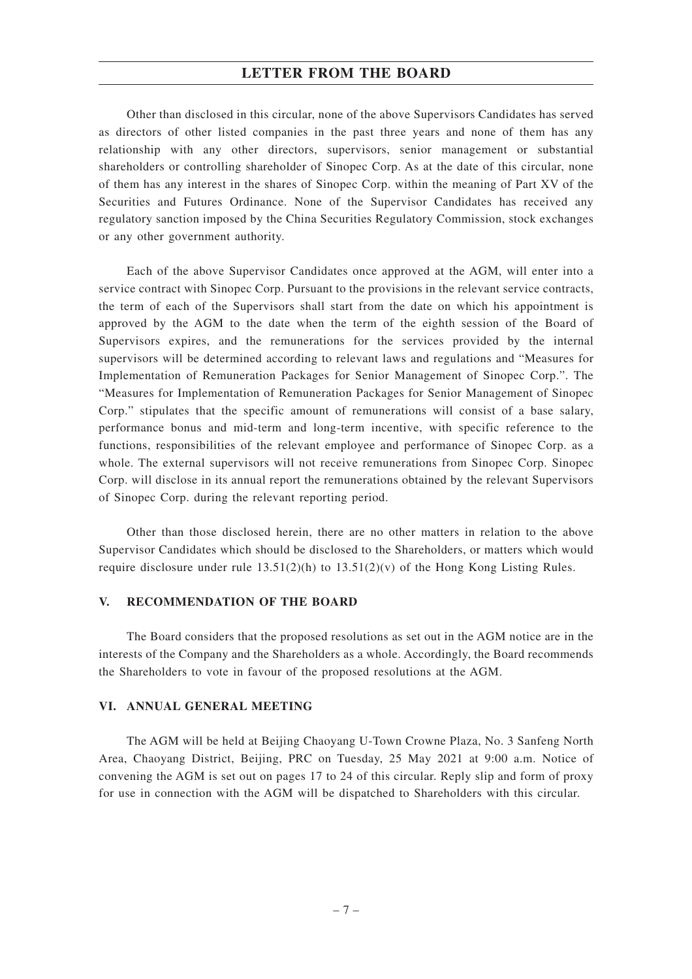Other than disclosed in this circular, none of the above Supervisors Candidates has served as directors of other listed companies in the past three years and none of them has any relationship with any other directors, supervisors, senior management or substantial shareholders or controlling shareholder of Sinopec Corp. As at the date of this circular, none of them has any interest in the shares of Sinopec Corp. within the meaning of Part XV of the Securities and Futures Ordinance. None of the Supervisor Candidates has received any regulatory sanction imposed by the China Securities Regulatory Commission, stock exchanges or any other government authority.

Each of the above Supervisor Candidates once approved at the AGM, will enter into a service contract with Sinopec Corp. Pursuant to the provisions in the relevant service contracts, the term of each of the Supervisors shall start from the date on which his appointment is approved by the AGM to the date when the term of the eighth session of the Board of Supervisors expires, and the remunerations for the services provided by the internal supervisors will be determined according to relevant laws and regulations and "Measures for Implementation of Remuneration Packages for Senior Management of Sinopec Corp.". The "Measures for Implementation of Remuneration Packages for Senior Management of Sinopec Corp." stipulates that the specific amount of remunerations will consist of a base salary, performance bonus and mid-term and long-term incentive, with specific reference to the functions, responsibilities of the relevant employee and performance of Sinopec Corp. as a whole. The external supervisors will not receive remunerations from Sinopec Corp. Sinopec Corp. will disclose in its annual report the remunerations obtained by the relevant Supervisors of Sinopec Corp. during the relevant reporting period.

Other than those disclosed herein, there are no other matters in relation to the above Supervisor Candidates which should be disclosed to the Shareholders, or matters which would require disclosure under rule  $13.51(2)(h)$  to  $13.51(2)(v)$  of the Hong Kong Listing Rules.

#### **V. RECOMMENDATION OF THE BOARD**

The Board considers that the proposed resolutions as set out in the AGM notice are in the interests of the Company and the Shareholders as a whole. Accordingly, the Board recommends the Shareholders to vote in favour of the proposed resolutions at the AGM.

#### **VI. ANNUAL GENERAL MEETING**

The AGM will be held at Beijing Chaoyang U-Town Crowne Plaza, No. 3 Sanfeng North Area, Chaoyang District, Beijing, PRC on Tuesday, 25 May 2021 at 9:00 a.m. Notice of convening the AGM is set out on pages 17 to 24 of this circular. Reply slip and form of proxy for use in connection with the AGM will be dispatched to Shareholders with this circular.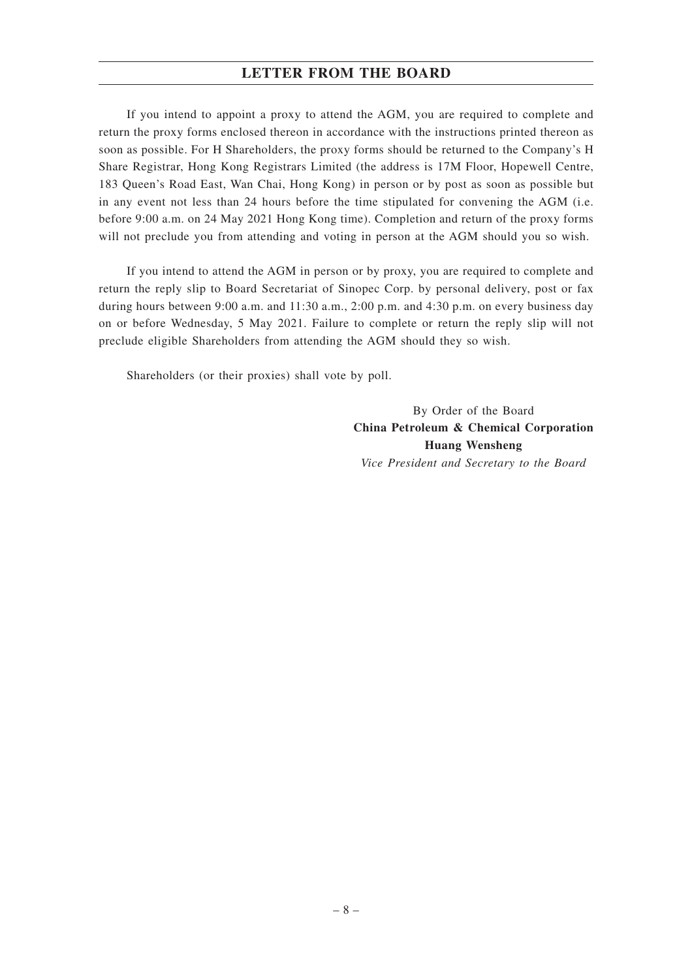If you intend to appoint a proxy to attend the AGM, you are required to complete and return the proxy forms enclosed thereon in accordance with the instructions printed thereon as soon as possible. For H Shareholders, the proxy forms should be returned to the Company's H Share Registrar, Hong Kong Registrars Limited (the address is 17M Floor, Hopewell Centre, 183 Queen's Road East, Wan Chai, Hong Kong) in person or by post as soon as possible but in any event not less than 24 hours before the time stipulated for convening the AGM (i.e. before 9:00 a.m. on 24 May 2021 Hong Kong time). Completion and return of the proxy forms will not preclude you from attending and voting in person at the AGM should you so wish.

If you intend to attend the AGM in person or by proxy, you are required to complete and return the reply slip to Board Secretariat of Sinopec Corp. by personal delivery, post or fax during hours between 9:00 a.m. and 11:30 a.m., 2:00 p.m. and 4:30 p.m. on every business day on or before Wednesday, 5 May 2021. Failure to complete or return the reply slip will not preclude eligible Shareholders from attending the AGM should they so wish.

Shareholders (or their proxies) shall vote by poll.

By Order of the Board **China Petroleum & Chemical Corporation Huang Wensheng** *Vice President and Secretary to the Board*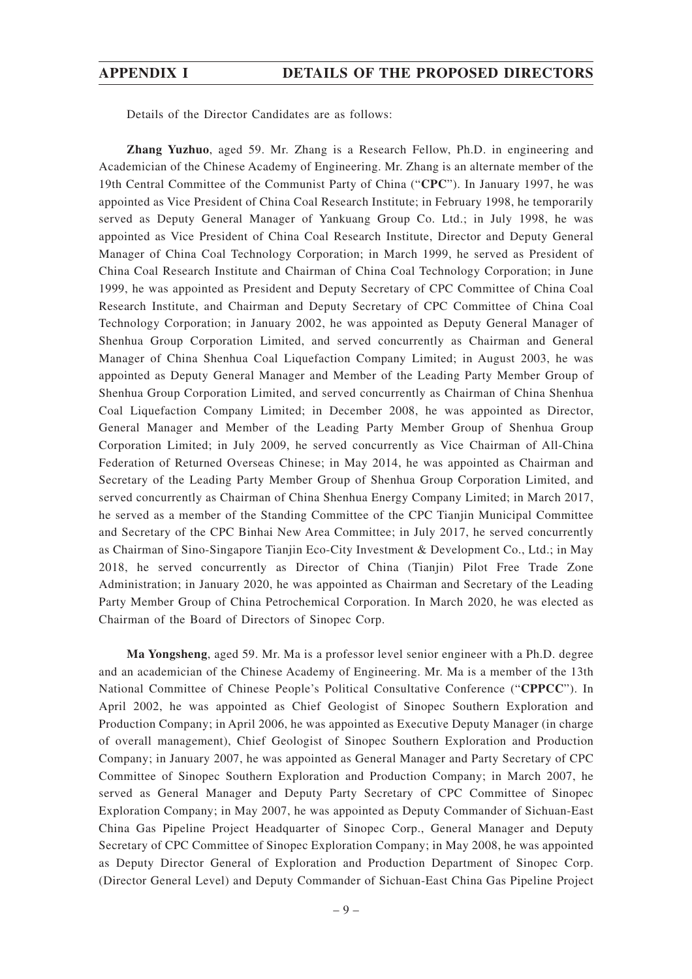#### **APPENDIX I DETAILS OF THE PROPOSED DIRECTORS**

Details of the Director Candidates are as follows:

**Zhang Yuzhuo**, aged 59. Mr. Zhang is a Research Fellow, Ph.D. in engineering and Academician of the Chinese Academy of Engineering. Mr. Zhang is an alternate member of the 19th Central Committee of the Communist Party of China ("**CPC**"). In January 1997, he was appointed as Vice President of China Coal Research Institute; in February 1998, he temporarily served as Deputy General Manager of Yankuang Group Co. Ltd.; in July 1998, he was appointed as Vice President of China Coal Research Institute, Director and Deputy General Manager of China Coal Technology Corporation; in March 1999, he served as President of China Coal Research Institute and Chairman of China Coal Technology Corporation; in June 1999, he was appointed as President and Deputy Secretary of CPC Committee of China Coal Research Institute, and Chairman and Deputy Secretary of CPC Committee of China Coal Technology Corporation; in January 2002, he was appointed as Deputy General Manager of Shenhua Group Corporation Limited, and served concurrently as Chairman and General Manager of China Shenhua Coal Liquefaction Company Limited; in August 2003, he was appointed as Deputy General Manager and Member of the Leading Party Member Group of Shenhua Group Corporation Limited, and served concurrently as Chairman of China Shenhua Coal Liquefaction Company Limited; in December 2008, he was appointed as Director, General Manager and Member of the Leading Party Member Group of Shenhua Group Corporation Limited; in July 2009, he served concurrently as Vice Chairman of All-China Federation of Returned Overseas Chinese; in May 2014, he was appointed as Chairman and Secretary of the Leading Party Member Group of Shenhua Group Corporation Limited, and served concurrently as Chairman of China Shenhua Energy Company Limited; in March 2017, he served as a member of the Standing Committee of the CPC Tianjin Municipal Committee and Secretary of the CPC Binhai New Area Committee; in July 2017, he served concurrently as Chairman of Sino-Singapore Tianjin Eco-City Investment & Development Co., Ltd.; in May 2018, he served concurrently as Director of China (Tianjin) Pilot Free Trade Zone Administration; in January 2020, he was appointed as Chairman and Secretary of the Leading Party Member Group of China Petrochemical Corporation. In March 2020, he was elected as Chairman of the Board of Directors of Sinopec Corp.

**Ma Yongsheng**, aged 59. Mr. Ma is a professor level senior engineer with a Ph.D. degree and an academician of the Chinese Academy of Engineering. Mr. Ma is a member of the 13th National Committee of Chinese People's Political Consultative Conference ("**CPPCC**"). In April 2002, he was appointed as Chief Geologist of Sinopec Southern Exploration and Production Company; in April 2006, he was appointed as Executive Deputy Manager (in charge of overall management), Chief Geologist of Sinopec Southern Exploration and Production Company; in January 2007, he was appointed as General Manager and Party Secretary of CPC Committee of Sinopec Southern Exploration and Production Company; in March 2007, he served as General Manager and Deputy Party Secretary of CPC Committee of Sinopec Exploration Company; in May 2007, he was appointed as Deputy Commander of Sichuan-East China Gas Pipeline Project Headquarter of Sinopec Corp., General Manager and Deputy Secretary of CPC Committee of Sinopec Exploration Company; in May 2008, he was appointed as Deputy Director General of Exploration and Production Department of Sinopec Corp. (Director General Level) and Deputy Commander of Sichuan-East China Gas Pipeline Project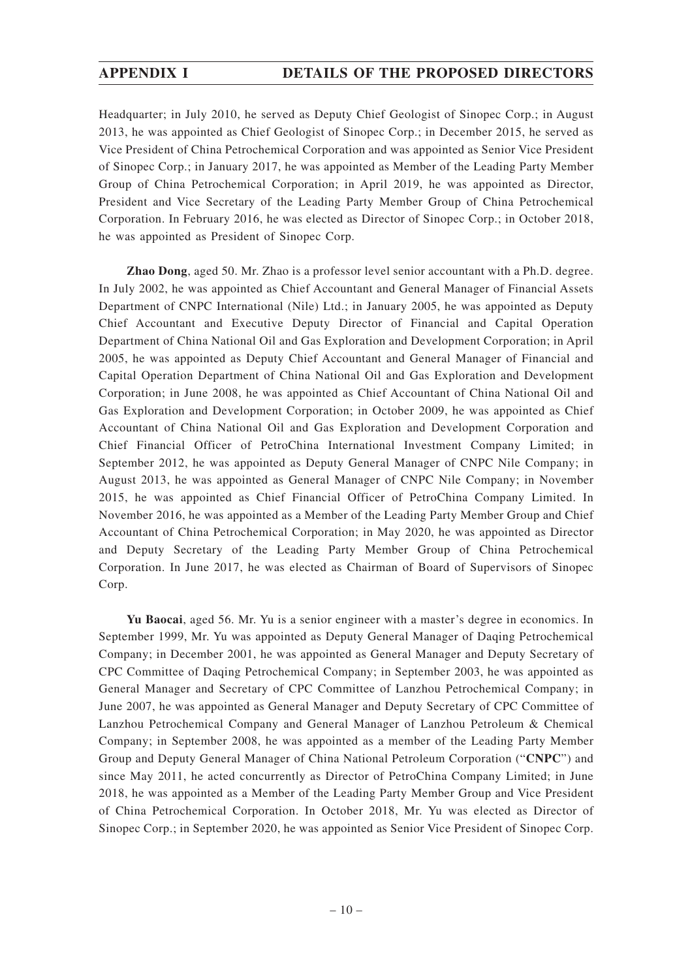## **APPENDIX I DETAILS OF THE PROPOSED DIRECTORS**

Headquarter; in July 2010, he served as Deputy Chief Geologist of Sinopec Corp.; in August 2013, he was appointed as Chief Geologist of Sinopec Corp.; in December 2015, he served as Vice President of China Petrochemical Corporation and was appointed as Senior Vice President of Sinopec Corp.; in January 2017, he was appointed as Member of the Leading Party Member Group of China Petrochemical Corporation; in April 2019, he was appointed as Director, President and Vice Secretary of the Leading Party Member Group of China Petrochemical Corporation. In February 2016, he was elected as Director of Sinopec Corp.; in October 2018, he was appointed as President of Sinopec Corp.

**Zhao Dong**, aged 50. Mr. Zhao is a professor level senior accountant with a Ph.D. degree. In July 2002, he was appointed as Chief Accountant and General Manager of Financial Assets Department of CNPC International (Nile) Ltd.; in January 2005, he was appointed as Deputy Chief Accountant and Executive Deputy Director of Financial and Capital Operation Department of China National Oil and Gas Exploration and Development Corporation; in April 2005, he was appointed as Deputy Chief Accountant and General Manager of Financial and Capital Operation Department of China National Oil and Gas Exploration and Development Corporation; in June 2008, he was appointed as Chief Accountant of China National Oil and Gas Exploration and Development Corporation; in October 2009, he was appointed as Chief Accountant of China National Oil and Gas Exploration and Development Corporation and Chief Financial Officer of PetroChina International Investment Company Limited; in September 2012, he was appointed as Deputy General Manager of CNPC Nile Company; in August 2013, he was appointed as General Manager of CNPC Nile Company; in November 2015, he was appointed as Chief Financial Officer of PetroChina Company Limited. In November 2016, he was appointed as a Member of the Leading Party Member Group and Chief Accountant of China Petrochemical Corporation; in May 2020, he was appointed as Director and Deputy Secretary of the Leading Party Member Group of China Petrochemical Corporation. In June 2017, he was elected as Chairman of Board of Supervisors of Sinopec Corp.

**Yu Baocai**, aged 56. Mr. Yu is a senior engineer with a master's degree in economics. In September 1999, Mr. Yu was appointed as Deputy General Manager of Daqing Petrochemical Company; in December 2001, he was appointed as General Manager and Deputy Secretary of CPC Committee of Daqing Petrochemical Company; in September 2003, he was appointed as General Manager and Secretary of CPC Committee of Lanzhou Petrochemical Company; in June 2007, he was appointed as General Manager and Deputy Secretary of CPC Committee of Lanzhou Petrochemical Company and General Manager of Lanzhou Petroleum & Chemical Company; in September 2008, he was appointed as a member of the Leading Party Member Group and Deputy General Manager of China National Petroleum Corporation ("**CNPC**") and since May 2011, he acted concurrently as Director of PetroChina Company Limited; in June 2018, he was appointed as a Member of the Leading Party Member Group and Vice President of China Petrochemical Corporation. In October 2018, Mr. Yu was elected as Director of Sinopec Corp.; in September 2020, he was appointed as Senior Vice President of Sinopec Corp.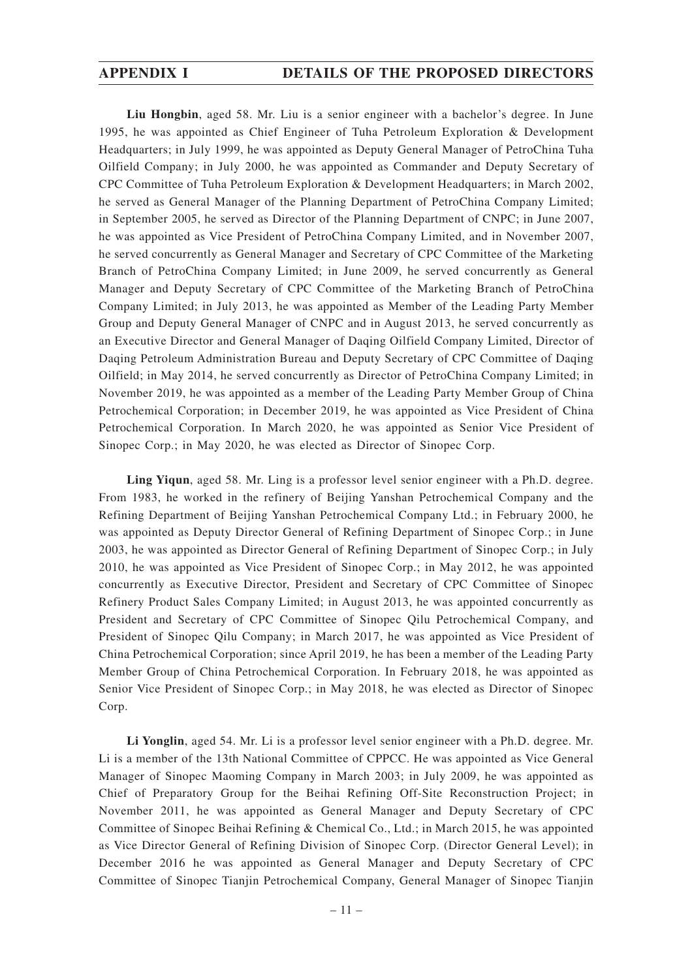**Liu Hongbin**, aged 58. Mr. Liu is a senior engineer with a bachelor's degree. In June 1995, he was appointed as Chief Engineer of Tuha Petroleum Exploration & Development Headquarters; in July 1999, he was appointed as Deputy General Manager of PetroChina Tuha Oilfield Company; in July 2000, he was appointed as Commander and Deputy Secretary of CPC Committee of Tuha Petroleum Exploration & Development Headquarters; in March 2002, he served as General Manager of the Planning Department of PetroChina Company Limited; in September 2005, he served as Director of the Planning Department of CNPC; in June 2007, he was appointed as Vice President of PetroChina Company Limited, and in November 2007, he served concurrently as General Manager and Secretary of CPC Committee of the Marketing Branch of PetroChina Company Limited; in June 2009, he served concurrently as General Manager and Deputy Secretary of CPC Committee of the Marketing Branch of PetroChina Company Limited; in July 2013, he was appointed as Member of the Leading Party Member Group and Deputy General Manager of CNPC and in August 2013, he served concurrently as an Executive Director and General Manager of Daqing Oilfield Company Limited, Director of Daqing Petroleum Administration Bureau and Deputy Secretary of CPC Committee of Daqing Oilfield; in May 2014, he served concurrently as Director of PetroChina Company Limited; in November 2019, he was appointed as a member of the Leading Party Member Group of China Petrochemical Corporation; in December 2019, he was appointed as Vice President of China Petrochemical Corporation. In March 2020, he was appointed as Senior Vice President of Sinopec Corp.; in May 2020, he was elected as Director of Sinopec Corp.

**Ling Yiqun**, aged 58. Mr. Ling is a professor level senior engineer with a Ph.D. degree. From 1983, he worked in the refinery of Beijing Yanshan Petrochemical Company and the Refining Department of Beijing Yanshan Petrochemical Company Ltd.; in February 2000, he was appointed as Deputy Director General of Refining Department of Sinopec Corp.; in June 2003, he was appointed as Director General of Refining Department of Sinopec Corp.; in July 2010, he was appointed as Vice President of Sinopec Corp.; in May 2012, he was appointed concurrently as Executive Director, President and Secretary of CPC Committee of Sinopec Refinery Product Sales Company Limited; in August 2013, he was appointed concurrently as President and Secretary of CPC Committee of Sinopec Qilu Petrochemical Company, and President of Sinopec Qilu Company; in March 2017, he was appointed as Vice President of China Petrochemical Corporation; since April 2019, he has been a member of the Leading Party Member Group of China Petrochemical Corporation. In February 2018, he was appointed as Senior Vice President of Sinopec Corp.; in May 2018, he was elected as Director of Sinopec Corp.

**Li Yonglin**, aged 54. Mr. Li is a professor level senior engineer with a Ph.D. degree. Mr. Li is a member of the 13th National Committee of CPPCC. He was appointed as Vice General Manager of Sinopec Maoming Company in March 2003; in July 2009, he was appointed as Chief of Preparatory Group for the Beihai Refining Off-Site Reconstruction Project; in November 2011, he was appointed as General Manager and Deputy Secretary of CPC Committee of Sinopec Beihai Refining & Chemical Co., Ltd.; in March 2015, he was appointed as Vice Director General of Refining Division of Sinopec Corp. (Director General Level); in December 2016 he was appointed as General Manager and Deputy Secretary of CPC Committee of Sinopec Tianjin Petrochemical Company, General Manager of Sinopec Tianjin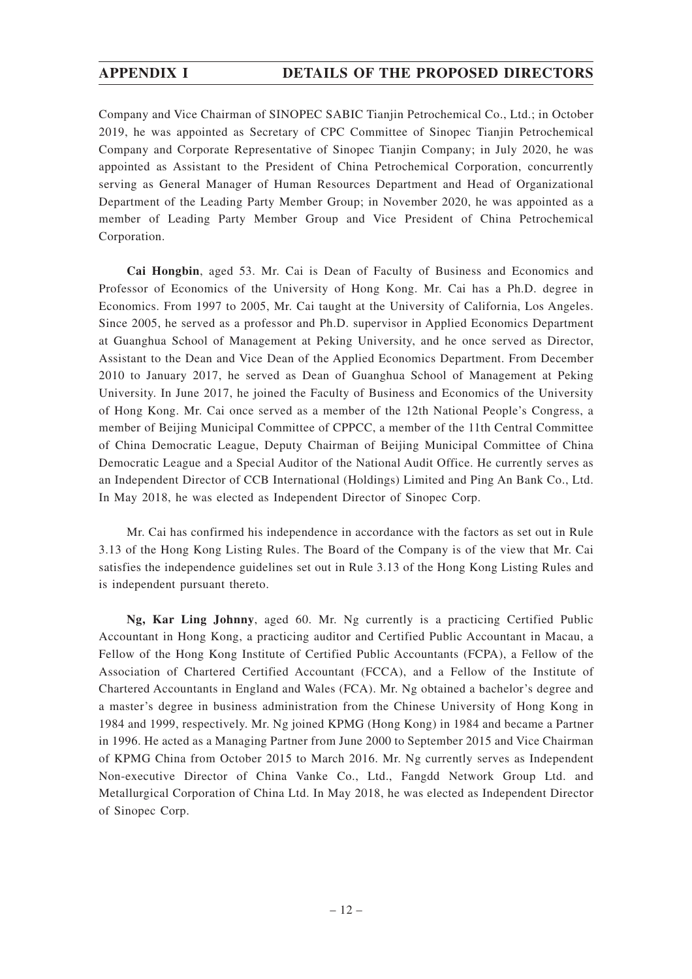Company and Vice Chairman of SINOPEC SABIC Tianjin Petrochemical Co., Ltd.; in October 2019, he was appointed as Secretary of CPC Committee of Sinopec Tianjin Petrochemical Company and Corporate Representative of Sinopec Tianjin Company; in July 2020, he was appointed as Assistant to the President of China Petrochemical Corporation, concurrently serving as General Manager of Human Resources Department and Head of Organizational Department of the Leading Party Member Group; in November 2020, he was appointed as a member of Leading Party Member Group and Vice President of China Petrochemical Corporation.

**Cai Hongbin**, aged 53. Mr. Cai is Dean of Faculty of Business and Economics and Professor of Economics of the University of Hong Kong. Mr. Cai has a Ph.D. degree in Economics. From 1997 to 2005, Mr. Cai taught at the University of California, Los Angeles. Since 2005, he served as a professor and Ph.D. supervisor in Applied Economics Department at Guanghua School of Management at Peking University, and he once served as Director, Assistant to the Dean and Vice Dean of the Applied Economics Department. From December 2010 to January 2017, he served as Dean of Guanghua School of Management at Peking University. In June 2017, he joined the Faculty of Business and Economics of the University of Hong Kong. Mr. Cai once served as a member of the 12th National People's Congress, a member of Beijing Municipal Committee of CPPCC, a member of the 11th Central Committee of China Democratic League, Deputy Chairman of Beijing Municipal Committee of China Democratic League and a Special Auditor of the National Audit Office. He currently serves as an Independent Director of CCB International (Holdings) Limited and Ping An Bank Co., Ltd. In May 2018, he was elected as Independent Director of Sinopec Corp.

Mr. Cai has confirmed his independence in accordance with the factors as set out in Rule 3.13 of the Hong Kong Listing Rules. The Board of the Company is of the view that Mr. Cai satisfies the independence guidelines set out in Rule 3.13 of the Hong Kong Listing Rules and is independent pursuant thereto.

**Ng, Kar Ling Johnny**, aged 60. Mr. Ng currently is a practicing Certified Public Accountant in Hong Kong, a practicing auditor and Certified Public Accountant in Macau, a Fellow of the Hong Kong Institute of Certified Public Accountants (FCPA), a Fellow of the Association of Chartered Certified Accountant (FCCA), and a Fellow of the Institute of Chartered Accountants in England and Wales (FCA). Mr. Ng obtained a bachelor's degree and a master's degree in business administration from the Chinese University of Hong Kong in 1984 and 1999, respectively. Mr. Ng joined KPMG (Hong Kong) in 1984 and became a Partner in 1996. He acted as a Managing Partner from June 2000 to September 2015 and Vice Chairman of KPMG China from October 2015 to March 2016. Mr. Ng currently serves as Independent Non-executive Director of China Vanke Co., Ltd., Fangdd Network Group Ltd. and Metallurgical Corporation of China Ltd. In May 2018, he was elected as Independent Director of Sinopec Corp.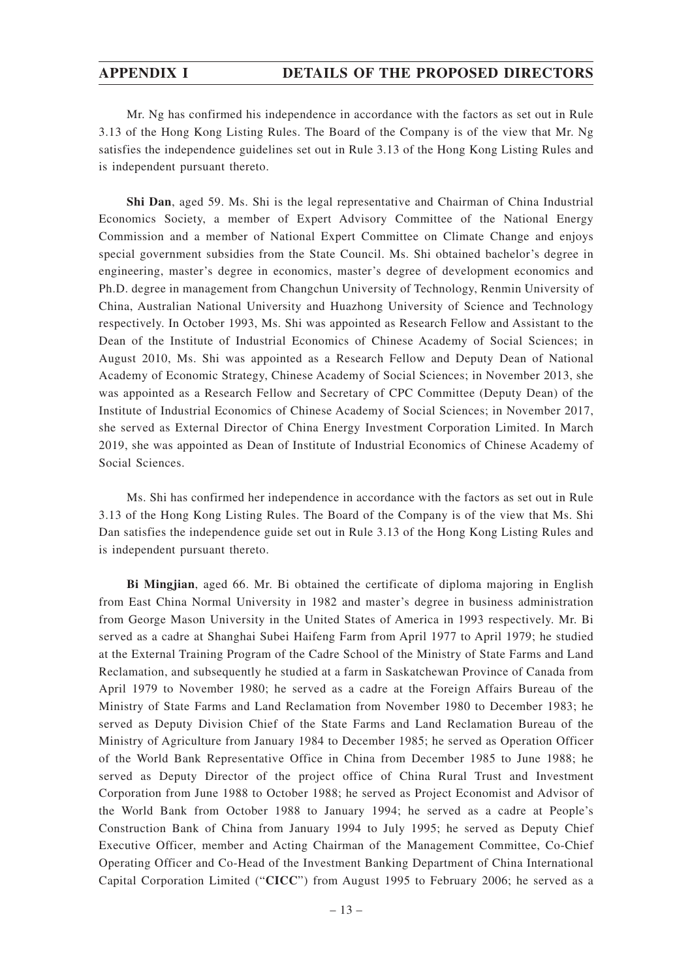## **APPENDIX I DETAILS OF THE PROPOSED DIRECTORS**

Mr. Ng has confirmed his independence in accordance with the factors as set out in Rule 3.13 of the Hong Kong Listing Rules. The Board of the Company is of the view that Mr. Ng satisfies the independence guidelines set out in Rule 3.13 of the Hong Kong Listing Rules and is independent pursuant thereto.

**Shi Dan**, aged 59. Ms. Shi is the legal representative and Chairman of China Industrial Economics Society, a member of Expert Advisory Committee of the National Energy Commission and a member of National Expert Committee on Climate Change and enjoys special government subsidies from the State Council. Ms. Shi obtained bachelor's degree in engineering, master's degree in economics, master's degree of development economics and Ph.D. degree in management from Changchun University of Technology, Renmin University of China, Australian National University and Huazhong University of Science and Technology respectively. In October 1993, Ms. Shi was appointed as Research Fellow and Assistant to the Dean of the Institute of Industrial Economics of Chinese Academy of Social Sciences; in August 2010, Ms. Shi was appointed as a Research Fellow and Deputy Dean of National Academy of Economic Strategy, Chinese Academy of Social Sciences; in November 2013, she was appointed as a Research Fellow and Secretary of CPC Committee (Deputy Dean) of the Institute of Industrial Economics of Chinese Academy of Social Sciences; in November 2017, she served as External Director of China Energy Investment Corporation Limited. In March 2019, she was appointed as Dean of Institute of Industrial Economics of Chinese Academy of Social Sciences.

Ms. Shi has confirmed her independence in accordance with the factors as set out in Rule 3.13 of the Hong Kong Listing Rules. The Board of the Company is of the view that Ms. Shi Dan satisfies the independence guide set out in Rule 3.13 of the Hong Kong Listing Rules and is independent pursuant thereto.

**Bi Mingjian**, aged 66. Mr. Bi obtained the certificate of diploma majoring in English from East China Normal University in 1982 and master's degree in business administration from George Mason University in the United States of America in 1993 respectively. Mr. Bi served as a cadre at Shanghai Subei Haifeng Farm from April 1977 to April 1979; he studied at the External Training Program of the Cadre School of the Ministry of State Farms and Land Reclamation, and subsequently he studied at a farm in Saskatchewan Province of Canada from April 1979 to November 1980; he served as a cadre at the Foreign Affairs Bureau of the Ministry of State Farms and Land Reclamation from November 1980 to December 1983; he served as Deputy Division Chief of the State Farms and Land Reclamation Bureau of the Ministry of Agriculture from January 1984 to December 1985; he served as Operation Officer of the World Bank Representative Office in China from December 1985 to June 1988; he served as Deputy Director of the project office of China Rural Trust and Investment Corporation from June 1988 to October 1988; he served as Project Economist and Advisor of the World Bank from October 1988 to January 1994; he served as a cadre at People's Construction Bank of China from January 1994 to July 1995; he served as Deputy Chief Executive Officer, member and Acting Chairman of the Management Committee, Co-Chief Operating Officer and Co-Head of the Investment Banking Department of China International Capital Corporation Limited ("**CICC**") from August 1995 to February 2006; he served as a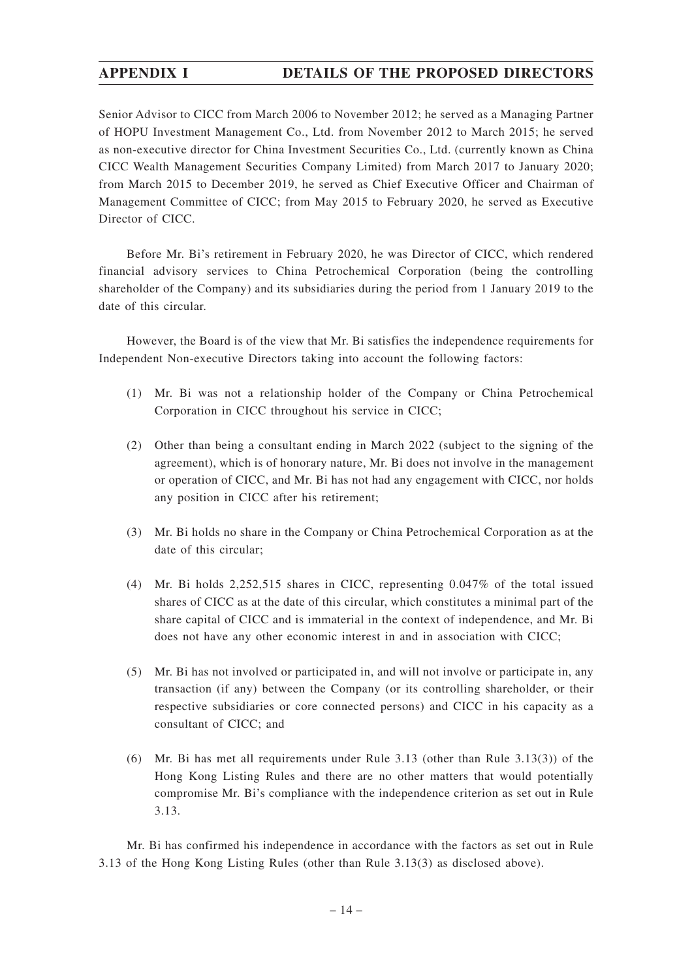## **APPENDIX I DETAILS OF THE PROPOSED DIRECTORS**

Senior Advisor to CICC from March 2006 to November 2012; he served as a Managing Partner of HOPU Investment Management Co., Ltd. from November 2012 to March 2015; he served as non-executive director for China Investment Securities Co., Ltd. (currently known as China CICC Wealth Management Securities Company Limited) from March 2017 to January 2020; from March 2015 to December 2019, he served as Chief Executive Officer and Chairman of Management Committee of CICC; from May 2015 to February 2020, he served as Executive Director of CICC.

Before Mr. Bi's retirement in February 2020, he was Director of CICC, which rendered financial advisory services to China Petrochemical Corporation (being the controlling shareholder of the Company) and its subsidiaries during the period from 1 January 2019 to the date of this circular.

However, the Board is of the view that Mr. Bi satisfies the independence requirements for Independent Non-executive Directors taking into account the following factors:

- (1) Mr. Bi was not a relationship holder of the Company or China Petrochemical Corporation in CICC throughout his service in CICC;
- (2) Other than being a consultant ending in March 2022 (subject to the signing of the agreement), which is of honorary nature, Mr. Bi does not involve in the management or operation of CICC, and Mr. Bi has not had any engagement with CICC, nor holds any position in CICC after his retirement;
- (3) Mr. Bi holds no share in the Company or China Petrochemical Corporation as at the date of this circular;
- (4) Mr. Bi holds 2,252,515 shares in CICC, representing 0.047% of the total issued shares of CICC as at the date of this circular, which constitutes a minimal part of the share capital of CICC and is immaterial in the context of independence, and Mr. Bi does not have any other economic interest in and in association with CICC;
- (5) Mr. Bi has not involved or participated in, and will not involve or participate in, any transaction (if any) between the Company (or its controlling shareholder, or their respective subsidiaries or core connected persons) and CICC in his capacity as a consultant of CICC; and
- (6) Mr. Bi has met all requirements under Rule 3.13 (other than Rule 3.13(3)) of the Hong Kong Listing Rules and there are no other matters that would potentially compromise Mr. Bi's compliance with the independence criterion as set out in Rule 3.13.

Mr. Bi has confirmed his independence in accordance with the factors as set out in Rule 3.13 of the Hong Kong Listing Rules (other than Rule 3.13(3) as disclosed above).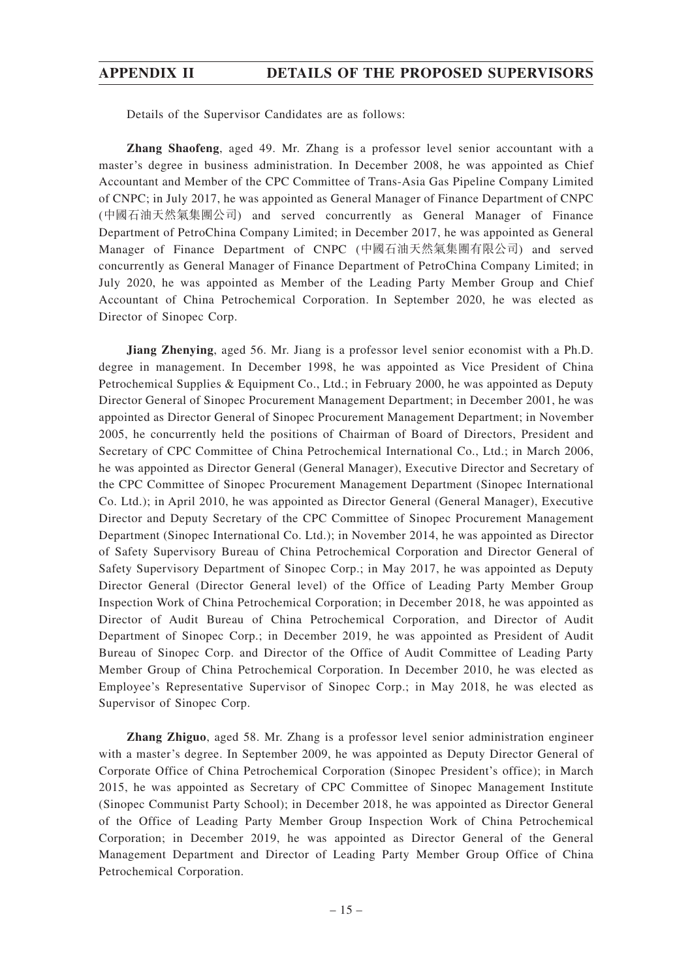## **APPENDIX II DETAILS OF THE PROPOSED SUPERVISORS**

Details of the Supervisor Candidates are as follows:

**Zhang Shaofeng**, aged 49. Mr. Zhang is a professor level senior accountant with a master's degree in business administration. In December 2008, he was appointed as Chief Accountant and Member of the CPC Committee of Trans-Asia Gas Pipeline Company Limited of CNPC; in July 2017, he was appointed as General Manager of Finance Department of CNPC (中國石油天然氣集團公司) and served concurrently as General Manager of Finance Department of PetroChina Company Limited; in December 2017, he was appointed as General Manager of Finance Department of CNPC (中國石油天然氣集團有限公司) and served concurrently as General Manager of Finance Department of PetroChina Company Limited; in July 2020, he was appointed as Member of the Leading Party Member Group and Chief Accountant of China Petrochemical Corporation. In September 2020, he was elected as Director of Sinopec Corp.

**Jiang Zhenying**, aged 56. Mr. Jiang is a professor level senior economist with a Ph.D. degree in management. In December 1998, he was appointed as Vice President of China Petrochemical Supplies & Equipment Co., Ltd.; in February 2000, he was appointed as Deputy Director General of Sinopec Procurement Management Department; in December 2001, he was appointed as Director General of Sinopec Procurement Management Department; in November 2005, he concurrently held the positions of Chairman of Board of Directors, President and Secretary of CPC Committee of China Petrochemical International Co., Ltd.; in March 2006, he was appointed as Director General (General Manager), Executive Director and Secretary of the CPC Committee of Sinopec Procurement Management Department (Sinopec International Co. Ltd.); in April 2010, he was appointed as Director General (General Manager), Executive Director and Deputy Secretary of the CPC Committee of Sinopec Procurement Management Department (Sinopec International Co. Ltd.); in November 2014, he was appointed as Director of Safety Supervisory Bureau of China Petrochemical Corporation and Director General of Safety Supervisory Department of Sinopec Corp.; in May 2017, he was appointed as Deputy Director General (Director General level) of the Office of Leading Party Member Group Inspection Work of China Petrochemical Corporation; in December 2018, he was appointed as Director of Audit Bureau of China Petrochemical Corporation, and Director of Audit Department of Sinopec Corp.; in December 2019, he was appointed as President of Audit Bureau of Sinopec Corp. and Director of the Office of Audit Committee of Leading Party Member Group of China Petrochemical Corporation. In December 2010, he was elected as Employee's Representative Supervisor of Sinopec Corp.; in May 2018, he was elected as Supervisor of Sinopec Corp.

**Zhang Zhiguo**, aged 58. Mr. Zhang is a professor level senior administration engineer with a master's degree. In September 2009, he was appointed as Deputy Director General of Corporate Office of China Petrochemical Corporation (Sinopec President's office); in March 2015, he was appointed as Secretary of CPC Committee of Sinopec Management Institute (Sinopec Communist Party School); in December 2018, he was appointed as Director General of the Office of Leading Party Member Group Inspection Work of China Petrochemical Corporation; in December 2019, he was appointed as Director General of the General Management Department and Director of Leading Party Member Group Office of China Petrochemical Corporation.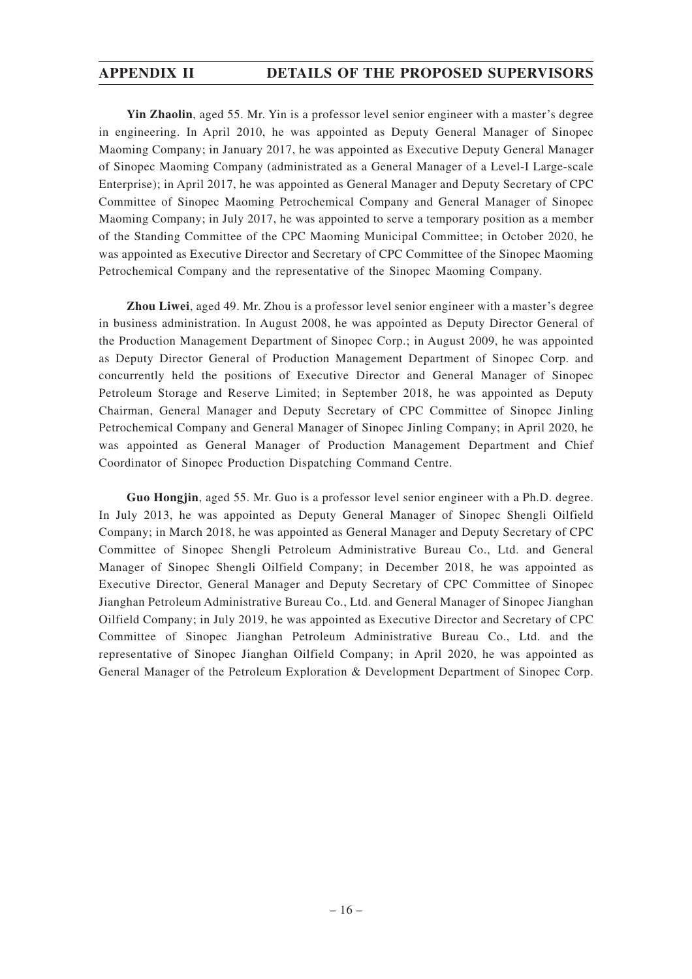## **APPENDIX II DETAILS OF THE PROPOSED SUPERVISORS**

**Yin Zhaolin**, aged 55. Mr. Yin is a professor level senior engineer with a master's degree in engineering. In April 2010, he was appointed as Deputy General Manager of Sinopec Maoming Company; in January 2017, he was appointed as Executive Deputy General Manager of Sinopec Maoming Company (administrated as a General Manager of a Level-I Large-scale Enterprise); in April 2017, he was appointed as General Manager and Deputy Secretary of CPC Committee of Sinopec Maoming Petrochemical Company and General Manager of Sinopec Maoming Company; in July 2017, he was appointed to serve a temporary position as a member of the Standing Committee of the CPC Maoming Municipal Committee; in October 2020, he was appointed as Executive Director and Secretary of CPC Committee of the Sinopec Maoming Petrochemical Company and the representative of the Sinopec Maoming Company.

**Zhou Liwei**, aged 49. Mr. Zhou is a professor level senior engineer with a master's degree in business administration. In August 2008, he was appointed as Deputy Director General of the Production Management Department of Sinopec Corp.; in August 2009, he was appointed as Deputy Director General of Production Management Department of Sinopec Corp. and concurrently held the positions of Executive Director and General Manager of Sinopec Petroleum Storage and Reserve Limited; in September 2018, he was appointed as Deputy Chairman, General Manager and Deputy Secretary of CPC Committee of Sinopec Jinling Petrochemical Company and General Manager of Sinopec Jinling Company; in April 2020, he was appointed as General Manager of Production Management Department and Chief Coordinator of Sinopec Production Dispatching Command Centre.

**Guo Hongjin**, aged 55. Mr. Guo is a professor level senior engineer with a Ph.D. degree. In July 2013, he was appointed as Deputy General Manager of Sinopec Shengli Oilfield Company; in March 2018, he was appointed as General Manager and Deputy Secretary of CPC Committee of Sinopec Shengli Petroleum Administrative Bureau Co., Ltd. and General Manager of Sinopec Shengli Oilfield Company; in December 2018, he was appointed as Executive Director, General Manager and Deputy Secretary of CPC Committee of Sinopec Jianghan Petroleum Administrative Bureau Co., Ltd. and General Manager of Sinopec Jianghan Oilfield Company; in July 2019, he was appointed as Executive Director and Secretary of CPC Committee of Sinopec Jianghan Petroleum Administrative Bureau Co., Ltd. and the representative of Sinopec Jianghan Oilfield Company; in April 2020, he was appointed as General Manager of the Petroleum Exploration & Development Department of Sinopec Corp.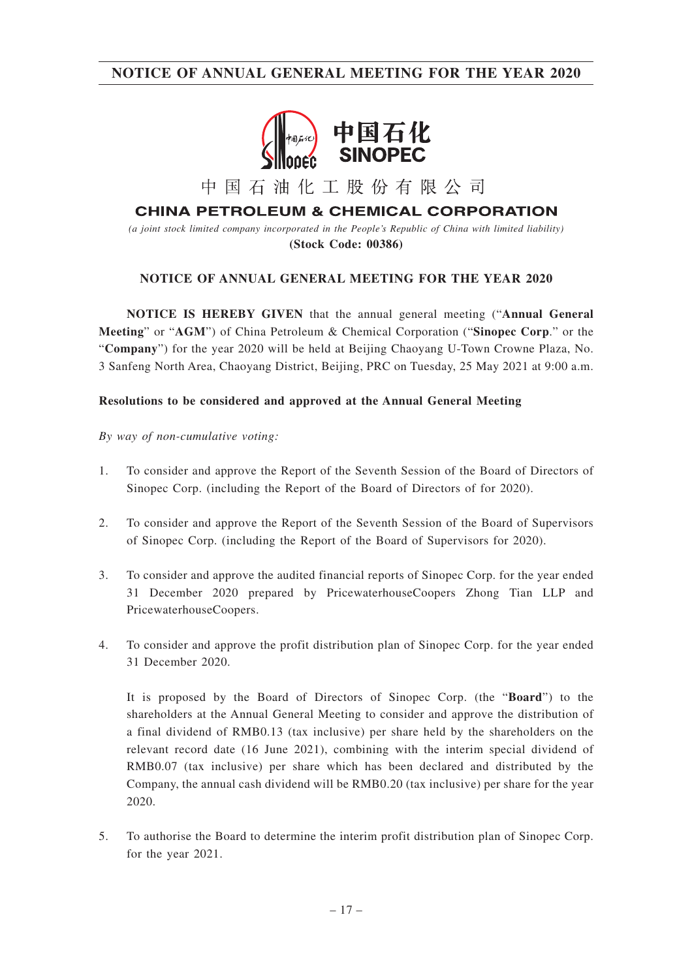

中国石油化工股份有限公司

**CHINA PETROLEUM & CHEMICAL CORPORATION** 

*(a joint stock limited company incorporated in the People's Republic of China with limited liability)* **(Stock Code: 00386)**

### **NOTICE OF ANNUAL GENERAL MEETING FOR THE YEAR 2020**

**NOTICE IS HEREBY GIVEN** that the annual general meeting ("**Annual General Meeting**" or "**AGM**") of China Petroleum & Chemical Corporation ("**Sinopec Corp**." or the "**Company**") for the year 2020 will be held at Beijing Chaoyang U-Town Crowne Plaza, No. 3 Sanfeng North Area, Chaoyang District, Beijing, PRC on Tuesday, 25 May 2021 at 9:00 a.m.

#### **Resolutions to be considered and approved at the Annual General Meeting**

*By way of non-cumulative voting:*

- 1. To consider and approve the Report of the Seventh Session of the Board of Directors of Sinopec Corp. (including the Report of the Board of Directors of for 2020).
- 2. To consider and approve the Report of the Seventh Session of the Board of Supervisors of Sinopec Corp. (including the Report of the Board of Supervisors for 2020).
- 3. To consider and approve the audited financial reports of Sinopec Corp. for the year ended 31 December 2020 prepared by PricewaterhouseCoopers Zhong Tian LLP and PricewaterhouseCoopers.
- 4. To consider and approve the profit distribution plan of Sinopec Corp. for the year ended 31 December 2020.

It is proposed by the Board of Directors of Sinopec Corp. (the "**Board**") to the shareholders at the Annual General Meeting to consider and approve the distribution of a final dividend of RMB0.13 (tax inclusive) per share held by the shareholders on the relevant record date (16 June 2021), combining with the interim special dividend of RMB0.07 (tax inclusive) per share which has been declared and distributed by the Company, the annual cash dividend will be RMB0.20 (tax inclusive) per share for the year 2020.

5. To authorise the Board to determine the interim profit distribution plan of Sinopec Corp. for the year 2021.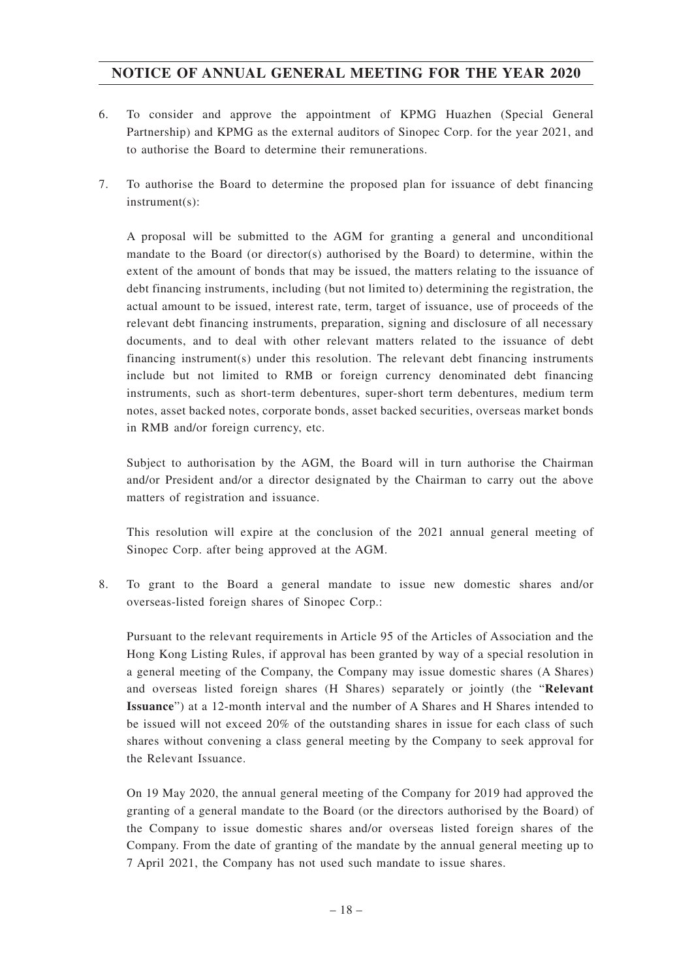- 6. To consider and approve the appointment of KPMG Huazhen (Special General Partnership) and KPMG as the external auditors of Sinopec Corp. for the year 2021, and to authorise the Board to determine their remunerations.
- 7. To authorise the Board to determine the proposed plan for issuance of debt financing instrument(s):

A proposal will be submitted to the AGM for granting a general and unconditional mandate to the Board (or director(s) authorised by the Board) to determine, within the extent of the amount of bonds that may be issued, the matters relating to the issuance of debt financing instruments, including (but not limited to) determining the registration, the actual amount to be issued, interest rate, term, target of issuance, use of proceeds of the relevant debt financing instruments, preparation, signing and disclosure of all necessary documents, and to deal with other relevant matters related to the issuance of debt financing instrument(s) under this resolution. The relevant debt financing instruments include but not limited to RMB or foreign currency denominated debt financing instruments, such as short-term debentures, super-short term debentures, medium term notes, asset backed notes, corporate bonds, asset backed securities, overseas market bonds in RMB and/or foreign currency, etc.

Subject to authorisation by the AGM, the Board will in turn authorise the Chairman and/or President and/or a director designated by the Chairman to carry out the above matters of registration and issuance.

This resolution will expire at the conclusion of the 2021 annual general meeting of Sinopec Corp. after being approved at the AGM.

8. To grant to the Board a general mandate to issue new domestic shares and/or overseas-listed foreign shares of Sinopec Corp.:

Pursuant to the relevant requirements in Article 95 of the Articles of Association and the Hong Kong Listing Rules, if approval has been granted by way of a special resolution in a general meeting of the Company, the Company may issue domestic shares (A Shares) and overseas listed foreign shares (H Shares) separately or jointly (the "**Relevant Issuance**") at a 12-month interval and the number of A Shares and H Shares intended to be issued will not exceed 20% of the outstanding shares in issue for each class of such shares without convening a class general meeting by the Company to seek approval for the Relevant Issuance.

On 19 May 2020, the annual general meeting of the Company for 2019 had approved the granting of a general mandate to the Board (or the directors authorised by the Board) of the Company to issue domestic shares and/or overseas listed foreign shares of the Company. From the date of granting of the mandate by the annual general meeting up to 7 April 2021, the Company has not used such mandate to issue shares.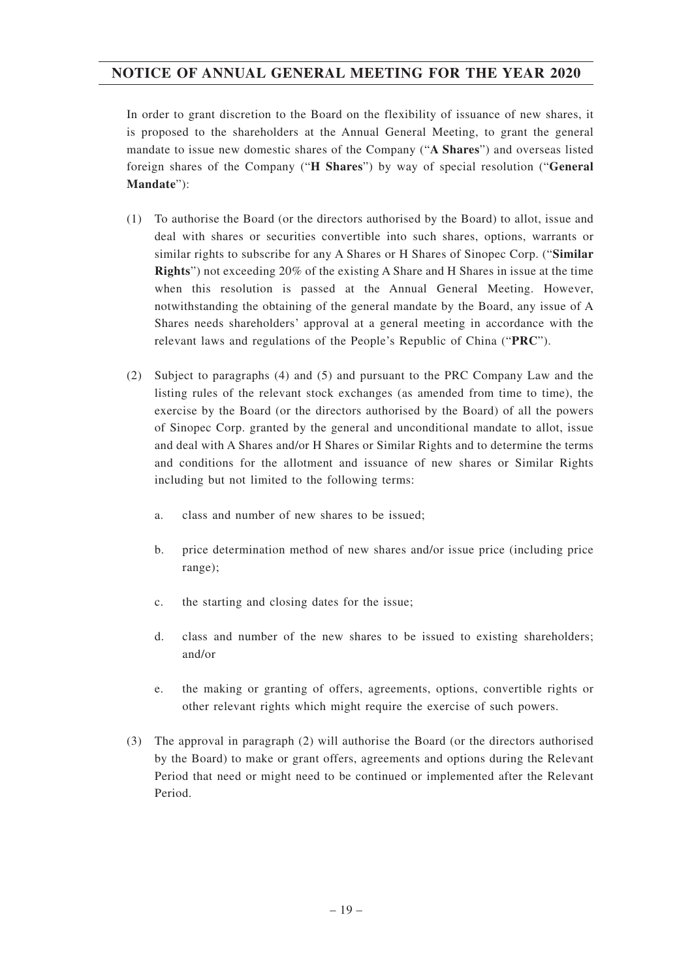In order to grant discretion to the Board on the flexibility of issuance of new shares, it is proposed to the shareholders at the Annual General Meeting, to grant the general mandate to issue new domestic shares of the Company ("**A Shares**") and overseas listed foreign shares of the Company ("**H Shares**") by way of special resolution ("**General Mandate**"):

- (1) To authorise the Board (or the directors authorised by the Board) to allot, issue and deal with shares or securities convertible into such shares, options, warrants or similar rights to subscribe for any A Shares or H Shares of Sinopec Corp. ("**Similar Rights**") not exceeding 20% of the existing A Share and H Shares in issue at the time when this resolution is passed at the Annual General Meeting. However, notwithstanding the obtaining of the general mandate by the Board, any issue of A Shares needs shareholders' approval at a general meeting in accordance with the relevant laws and regulations of the People's Republic of China ("**PRC**").
- (2) Subject to paragraphs (4) and (5) and pursuant to the PRC Company Law and the listing rules of the relevant stock exchanges (as amended from time to time), the exercise by the Board (or the directors authorised by the Board) of all the powers of Sinopec Corp. granted by the general and unconditional mandate to allot, issue and deal with A Shares and/or H Shares or Similar Rights and to determine the terms and conditions for the allotment and issuance of new shares or Similar Rights including but not limited to the following terms:
	- a. class and number of new shares to be issued;
	- b. price determination method of new shares and/or issue price (including price range);
	- c. the starting and closing dates for the issue;
	- d. class and number of the new shares to be issued to existing shareholders; and/or
	- e. the making or granting of offers, agreements, options, convertible rights or other relevant rights which might require the exercise of such powers.
- (3) The approval in paragraph (2) will authorise the Board (or the directors authorised by the Board) to make or grant offers, agreements and options during the Relevant Period that need or might need to be continued or implemented after the Relevant Period.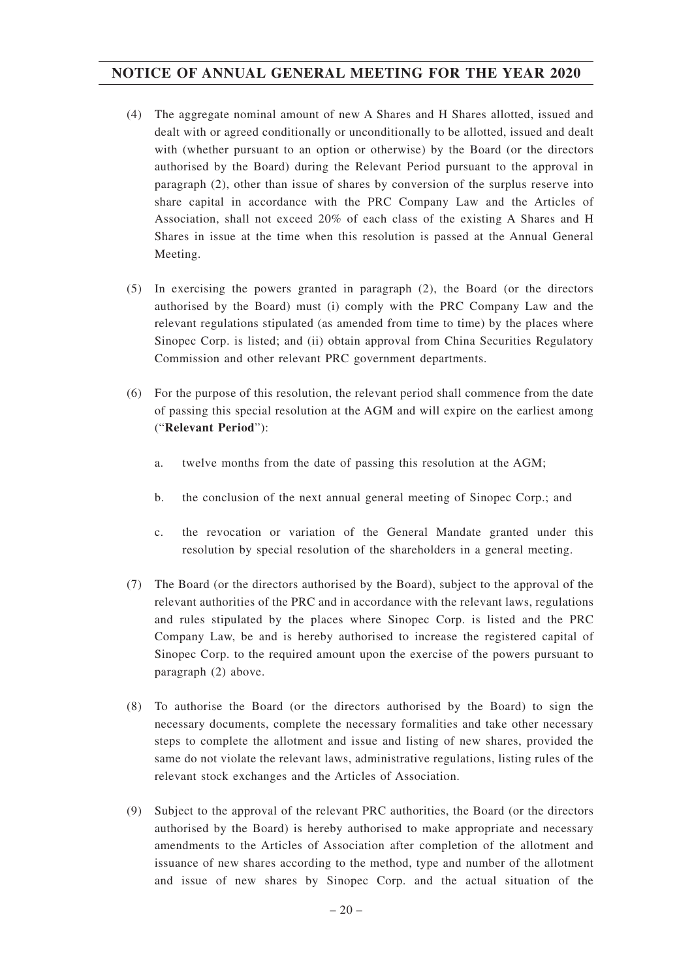- (4) The aggregate nominal amount of new A Shares and H Shares allotted, issued and dealt with or agreed conditionally or unconditionally to be allotted, issued and dealt with (whether pursuant to an option or otherwise) by the Board (or the directors authorised by the Board) during the Relevant Period pursuant to the approval in paragraph (2), other than issue of shares by conversion of the surplus reserve into share capital in accordance with the PRC Company Law and the Articles of Association, shall not exceed 20% of each class of the existing A Shares and H Shares in issue at the time when this resolution is passed at the Annual General Meeting.
- (5) In exercising the powers granted in paragraph (2), the Board (or the directors authorised by the Board) must (i) comply with the PRC Company Law and the relevant regulations stipulated (as amended from time to time) by the places where Sinopec Corp. is listed; and (ii) obtain approval from China Securities Regulatory Commission and other relevant PRC government departments.
- (6) For the purpose of this resolution, the relevant period shall commence from the date of passing this special resolution at the AGM and will expire on the earliest among ("**Relevant Period**"):
	- a. twelve months from the date of passing this resolution at the AGM;
	- b. the conclusion of the next annual general meeting of Sinopec Corp.; and
	- c. the revocation or variation of the General Mandate granted under this resolution by special resolution of the shareholders in a general meeting.
- (7) The Board (or the directors authorised by the Board), subject to the approval of the relevant authorities of the PRC and in accordance with the relevant laws, regulations and rules stipulated by the places where Sinopec Corp. is listed and the PRC Company Law, be and is hereby authorised to increase the registered capital of Sinopec Corp. to the required amount upon the exercise of the powers pursuant to paragraph (2) above.
- (8) To authorise the Board (or the directors authorised by the Board) to sign the necessary documents, complete the necessary formalities and take other necessary steps to complete the allotment and issue and listing of new shares, provided the same do not violate the relevant laws, administrative regulations, listing rules of the relevant stock exchanges and the Articles of Association.
- (9) Subject to the approval of the relevant PRC authorities, the Board (or the directors authorised by the Board) is hereby authorised to make appropriate and necessary amendments to the Articles of Association after completion of the allotment and issuance of new shares according to the method, type and number of the allotment and issue of new shares by Sinopec Corp. and the actual situation of the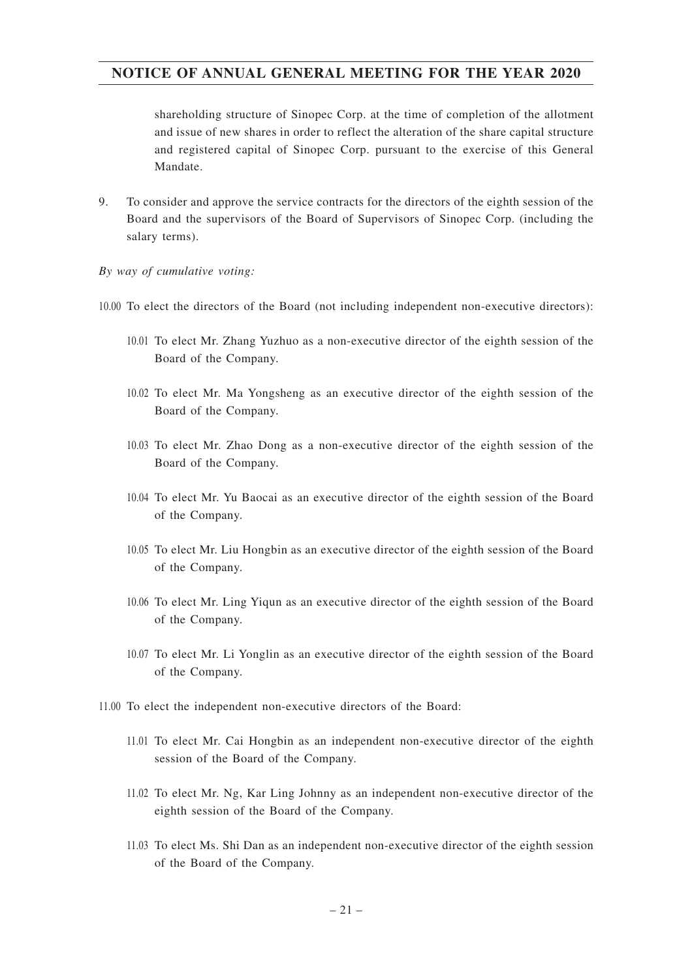shareholding structure of Sinopec Corp. at the time of completion of the allotment and issue of new shares in order to reflect the alteration of the share capital structure and registered capital of Sinopec Corp. pursuant to the exercise of this General Mandate.

9. To consider and approve the service contracts for the directors of the eighth session of the Board and the supervisors of the Board of Supervisors of Sinopec Corp. (including the salary terms).

*By way of cumulative voting:*

10.00 To elect the directors of the Board (not including independent non-executive directors):

- 10.01 To elect Mr. Zhang Yuzhuo as a non-executive director of the eighth session of the Board of the Company.
- 10.02 To elect Mr. Ma Yongsheng as an executive director of the eighth session of the Board of the Company.
- 10.03 To elect Mr. Zhao Dong as a non-executive director of the eighth session of the Board of the Company.
- 10.04 To elect Mr. Yu Baocai as an executive director of the eighth session of the Board of the Company.
- 10.05 To elect Mr. Liu Hongbin as an executive director of the eighth session of the Board of the Company.
- 10.06 To elect Mr. Ling Yiqun as an executive director of the eighth session of the Board of the Company.
- 10.07 To elect Mr. Li Yonglin as an executive director of the eighth session of the Board of the Company.
- 11.00 To elect the independent non-executive directors of the Board:
	- 11.01 To elect Mr. Cai Hongbin as an independent non-executive director of the eighth session of the Board of the Company.
	- 11.02 To elect Mr. Ng, Kar Ling Johnny as an independent non-executive director of the eighth session of the Board of the Company.
	- 11.03 To elect Ms. Shi Dan as an independent non-executive director of the eighth session of the Board of the Company.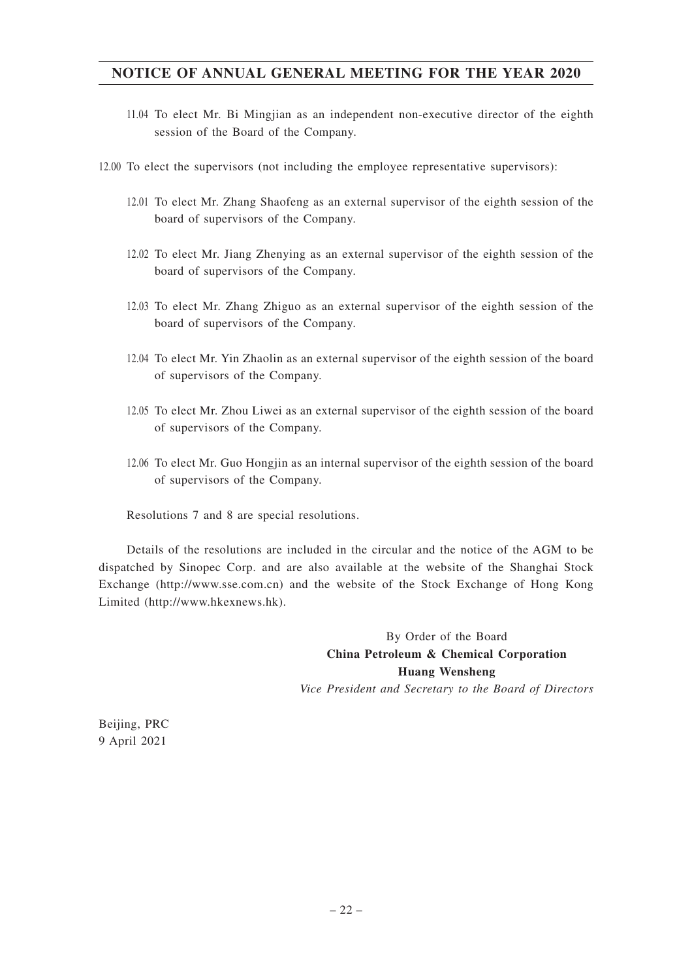- 11.04 To elect Mr. Bi Mingjian as an independent non-executive director of the eighth session of the Board of the Company.
- 12.00 To elect the supervisors (not including the employee representative supervisors):
	- 12.01 To elect Mr. Zhang Shaofeng as an external supervisor of the eighth session of the board of supervisors of the Company.
	- 12.02 To elect Mr. Jiang Zhenying as an external supervisor of the eighth session of the board of supervisors of the Company.
	- 12.03 To elect Mr. Zhang Zhiguo as an external supervisor of the eighth session of the board of supervisors of the Company.
	- 12.04 To elect Mr. Yin Zhaolin as an external supervisor of the eighth session of the board of supervisors of the Company.
	- 12.05 To elect Mr. Zhou Liwei as an external supervisor of the eighth session of the board of supervisors of the Company.
	- 12.06 To elect Mr. Guo Hongjin as an internal supervisor of the eighth session of the board of supervisors of the Company.

Resolutions 7 and 8 are special resolutions.

Details of the resolutions are included in the circular and the notice of the AGM to be dispatched by Sinopec Corp. and are also available at the website of the Shanghai Stock Exchange (http://www.sse.com.cn) and the website of the Stock Exchange of Hong Kong Limited (http://www.hkexnews.hk).

> By Order of the Board **China Petroleum & Chemical Corporation Huang Wensheng** *Vice President and Secretary to the Board of Directors*

Beijing, PRC 9 April 2021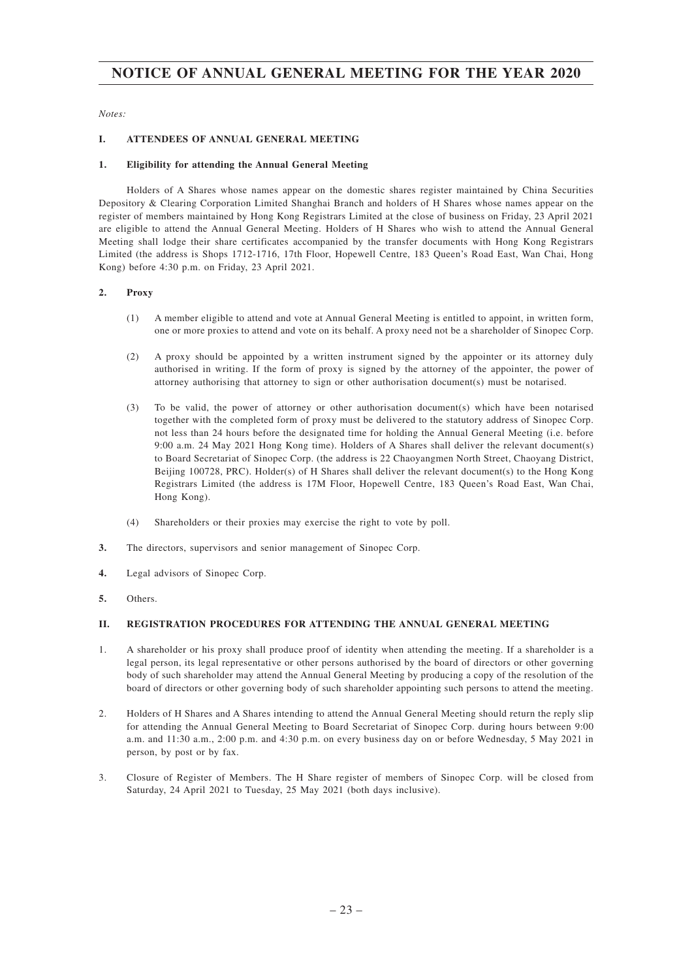*Notes:*

#### **I. ATTENDEES OF ANNUAL GENERAL MEETING**

#### **1. Eligibility for attending the Annual General Meeting**

Holders of A Shares whose names appear on the domestic shares register maintained by China Securities Depository & Clearing Corporation Limited Shanghai Branch and holders of H Shares whose names appear on the register of members maintained by Hong Kong Registrars Limited at the close of business on Friday, 23 April 2021 are eligible to attend the Annual General Meeting. Holders of H Shares who wish to attend the Annual General Meeting shall lodge their share certificates accompanied by the transfer documents with Hong Kong Registrars Limited (the address is Shops 1712-1716, 17th Floor, Hopewell Centre, 183 Queen's Road East, Wan Chai, Hong Kong) before 4:30 p.m. on Friday, 23 April 2021.

#### **2. Proxy**

- (1) A member eligible to attend and vote at Annual General Meeting is entitled to appoint, in written form, one or more proxies to attend and vote on its behalf. A proxy need not be a shareholder of Sinopec Corp.
- (2) A proxy should be appointed by a written instrument signed by the appointer or its attorney duly authorised in writing. If the form of proxy is signed by the attorney of the appointer, the power of attorney authorising that attorney to sign or other authorisation document(s) must be notarised.
- (3) To be valid, the power of attorney or other authorisation document(s) which have been notarised together with the completed form of proxy must be delivered to the statutory address of Sinopec Corp. not less than 24 hours before the designated time for holding the Annual General Meeting (i.e. before 9:00 a.m. 24 May 2021 Hong Kong time). Holders of A Shares shall deliver the relevant document(s) to Board Secretariat of Sinopec Corp. (the address is 22 Chaoyangmen North Street, Chaoyang District, Beijing 100728, PRC). Holder(s) of H Shares shall deliver the relevant document(s) to the Hong Kong Registrars Limited (the address is 17M Floor, Hopewell Centre, 183 Queen's Road East, Wan Chai, Hong Kong).
- (4) Shareholders or their proxies may exercise the right to vote by poll.
- **3.** The directors, supervisors and senior management of Sinopec Corp.
- **4.** Legal advisors of Sinopec Corp.
- **5.** Others.

#### **II. REGISTRATION PROCEDURES FOR ATTENDING THE ANNUAL GENERAL MEETING**

- 1. A shareholder or his proxy shall produce proof of identity when attending the meeting. If a shareholder is a legal person, its legal representative or other persons authorised by the board of directors or other governing body of such shareholder may attend the Annual General Meeting by producing a copy of the resolution of the board of directors or other governing body of such shareholder appointing such persons to attend the meeting.
- 2. Holders of H Shares and A Shares intending to attend the Annual General Meeting should return the reply slip for attending the Annual General Meeting to Board Secretariat of Sinopec Corp. during hours between 9:00 a.m. and 11:30 a.m., 2:00 p.m. and 4:30 p.m. on every business day on or before Wednesday, 5 May 2021 in person, by post or by fax.
- 3. Closure of Register of Members. The H Share register of members of Sinopec Corp. will be closed from Saturday, 24 April 2021 to Tuesday, 25 May 2021 (both days inclusive).